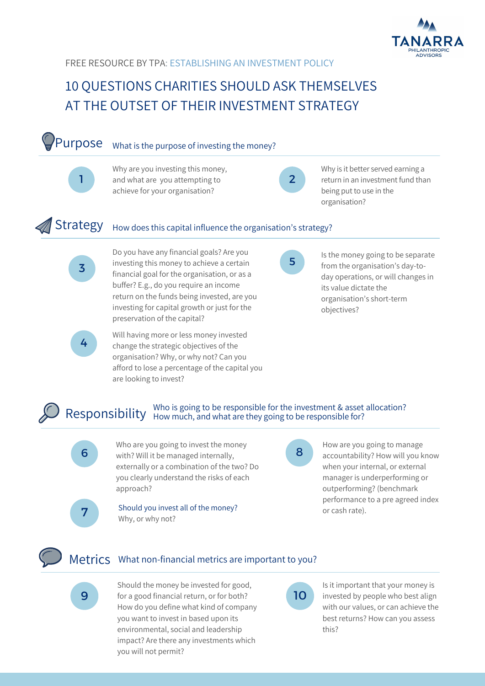

## 10 QUESTIONS CHARITIES SHOULD ASK THEMSELVES AT THE OUTSET OF THEIR INVESTMENT STRATEGY

#### Purpose What is the purpose of investing the money?

Why are you investing this money, and what are you attempting to achieve for your organisation?

 $\mathcal{P}$ 

Why is it better served earning a return in an investment fund than being put to use in the organisation?

1

3

### Strategy How does this capital influence the organisation's strategy?

Do you have any financial goals? Are you investing this money to achieve a certain financial goal for the organisation, or as a buffer? E.g., do you require an income return on the funds being invested, are you investing for capital growth or just for the preservation of the capital?

4

Will having more or less money invested change the strategic objectives of the organisation? Why, or why not? Can you afford to lose a percentage of the capital you are looking to invest?



Is the money going to be separate from the organisation's day-today operations, or will changes in its value dictate the organisation's short-term objectives?

#### Who is going to be responsible for the investment & asset allocation? Responsibility How much, and what are they going to be responsible for?



 $\overline{6}$  with? Will it be managed internally, Who are you going to invest the money externally or a combination of the two? Do you clearly understand the risks of each approach?

How are you going to manage accountability? How will you know when your internal, or external manager is underperforming or outperforming? (benchmark performance to a pre agreed index or cash rate).



Should you invest all of the money? Why, or why not?

Metrics What non-financial metrics are important to you?

**9** for a good financial return, or for both? **10** Should the money be invested for good, How do you define what kind of company you want to invest in based upon its environmental, social and leadership impact? Are there any investments which you will not permit?

Is it important that your money is invested by people who best align with our values, or can achieve the best returns? How can you assess this?